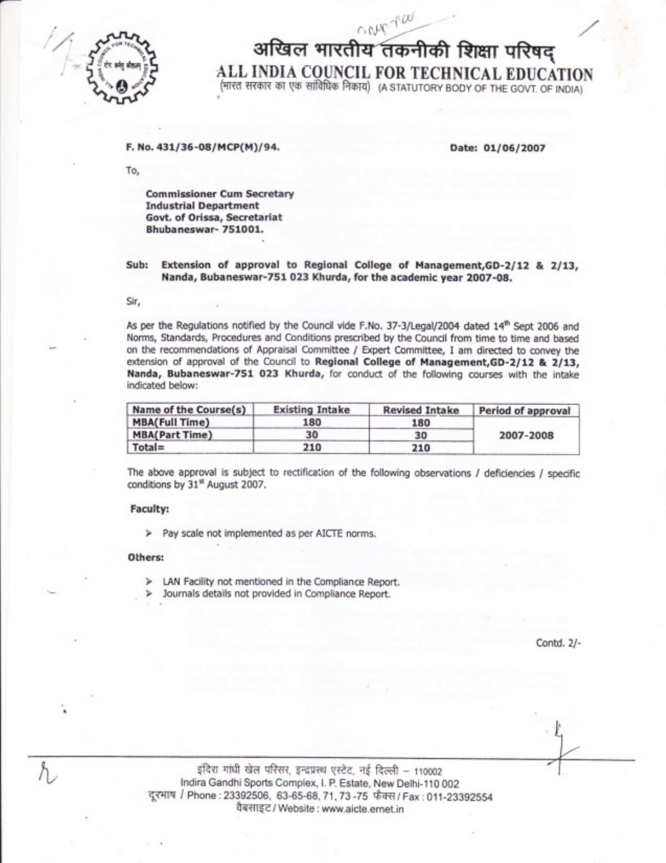

a

आखिल भारतीय तकनीकी शिक्षा परिषद् ALL INDIA COUNCIL FOR TECHNICAL EDUCATION (भारत सरकार का एक सांविधिक निकाय) (A STATUTORY BODY OF THE GOVT. OF INDIA)

## F. No. 431/36-08/MCP(M)/94.

Date: 01/06/2007

To,

Commissioner Cum Secretary Industrial Department Govt. of Orissa, Secretariat Bhubaneswar- 751001.

# Sub: Extension of approval to Regional College of Management, GD-2/12 & 2/13, Nanda, Bubaneswar-7S1 023 Khurda, for the academic year 2007-08.

Sir,

As per the Regulations notified by the Council vide F.No. 37-3/Legal/2004 dated 14<sup>th</sup> Sept 2006 and Norms, Standards, Procedures and Conditions prescribed by the Council from time to time and based on the recommendations of Appraisal Committee / Expert Committee, I am directed to convey the extension of approval of the Council to Regional College of Management, GD-2/12 & 2/13, Nanda, Bubaneswar-75l O23 Khurda, for conduct of the following courses with the intake indicated below:

| Name of the Course(s) | <b>Existing Intake</b> | <b>Revised Intake</b> | Period of approval |
|-----------------------|------------------------|-----------------------|--------------------|
| <b>MBA(Full Time)</b> | 180                    | 180                   | 2007-2008          |
| <b>MBA(Part Time)</b> | 30                     | 30                    |                    |
| $Total =$             | 210                    | 210                   |                    |

The above approval is subject to rectification of the following observations / deficiencies / specific conditions by 31st August 2007.

### Faculty:

) Pay scale not implemented as per AICTE norms,

## Others:

- > LAN Facility not mentioned in the Compliance Report.
- Journals details not provided in Compliance Report, Ъ

Contd. 2/-

gंदिरा गांधी खेल परिसर, इन्द्रप्रस्थ एस्टेट, नई दिल्ली - 110002 lndira Gandhi Sports Complex, l. P. Estate, New Delhi-110 002 दूरभाष / Phone : 23392506, 63-65-68, 71, 73 -75 फैक्स / Fax : 011-23392554 वैबसाइट / Website : www.aicte.ernet.in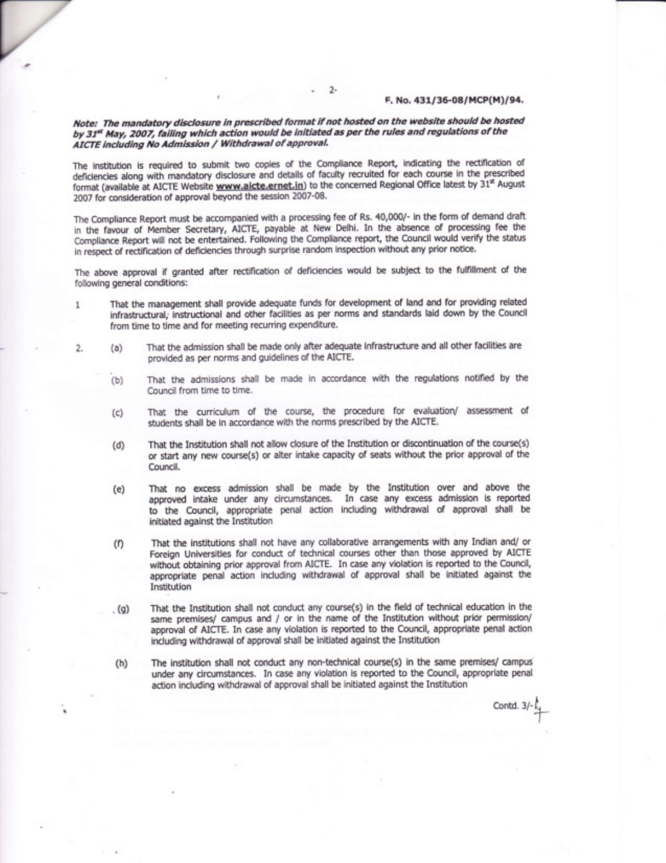#### F. No. 431/36-08/MCP(M)/94.

## Note: The mandatory disclosure in prescribed format if not hosted on the website should be hosted by 31<sup>st</sup> May, 2007, failing which action would be initiated as per the rules and regulations of the AICTE including No Admission / Withdrawal of approval.

' 2-

7

The institution is required to submit two copies of the Compliance Report, indicating the rectification of deficiencies along with mandatory disclosure and details of faculty recruited for each course in the prescribed format (available at AICTE Website www.aicte.ernet.in) to the concerned Regional Office latest by 31\* August 2007 for consideration of approval beyond the session 2007-08.

The Compliance Report must be accompanied with a processing fee of Rs. 40,000/- in the form of demand draft in the favour of Member Secretary, AICTE, payable at New Delhi. In the absence of processing fee the Compliance Report will not be entertained. Following the Compliance report, the Council would verify the status in respect of rectification of deficiencies through surprise random inspection without any prior notice.

The above approval if granted after rectification of deficiencies would be subject to the fulfillment of the following general conditions:

- 1 That the management shall provide adequate funds for development of land and for providing related infrasbuctural; lnstructional and other facilities as per norms and standards laid down by the Council from time to time and for meeting recuning expenditure.
- 2. (a) That the admission shall be made only after adequate infrastructure and all other facilities are provided as per norms and guidelines of the AICTE.
	- $(b)$  That the admissions shall be made in accordance with the regulations notified by the Council from time to time.
	- (c) That the cuniculum of the course, the procedure for evaluation/ assessment of students shall be in accordance with the norms prescribed by the AICTE.
	- (d) That the Institution shall not allow closure of the Institution or discontinuation of the course(s) or start any new course(s) or alter intake capacity of seats without the prior approval of the Council.
	- (e) That no excess admission shall be made by the Institution over and above the approved intake under any circumstances. In case any excess admission is reported to the Council, appropriate penal action including withdrawal of approval shall be initiated against the Institution
	- (f) That the institutions shall not have any collaborative arrangements with any Indian and/ or Foreign Universities for conduct of technical courses other than those approved by AICTE without obtaining prior approval from AICTE. In case any violation is reported to the Council, appropriate penal action including withdrawal of approval shall be initiated against the Institution
	- . (g) That the Institution shall not conduct any course(s) in the field of technical education in the same premises/ campus and / or in the name of the Institution without prior permission/ approval of AICTE. In case any violation is reported to the Council, appropriate penal action including withdrawal of approval shall be initiated against the Institution
	- (h) The institution shall not conduct any non-technical course(s) in the same premises/ campus under any circumstances. In case any violation is reported to the Council, appropriate penal action including withdrawal of approval shall be initiated against the Institution

Contd. 3/- $^\top$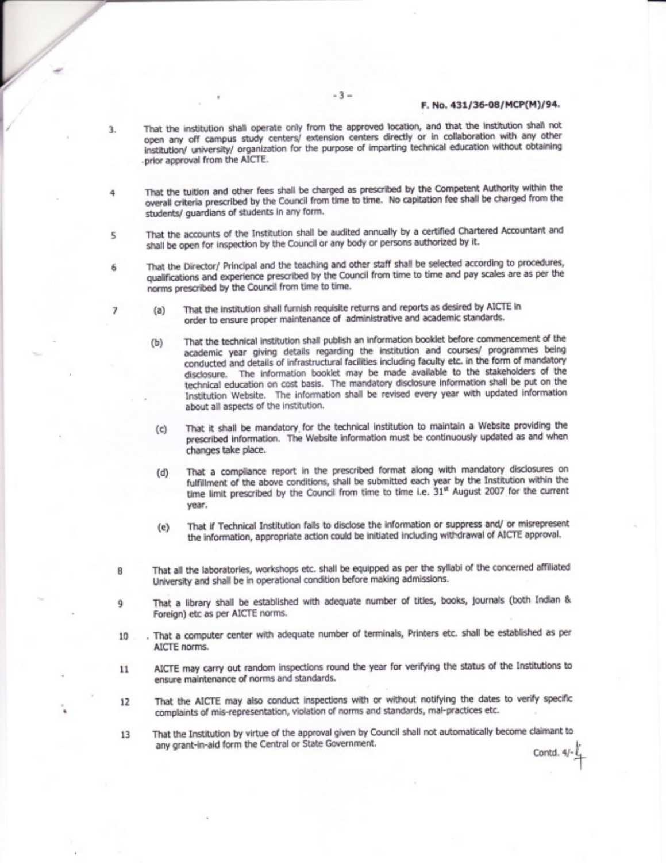## F. No. 431/36-08/MCP(M)/94.

- That the institution shall operate only from the approved location, and that the institution shall not open any off campus study centers/ extension centers directly or in collaboration with any other institution/ university/ organization for the purpose of imparting technical education without obtaining .prior approval from the AICTE.
- That the tuition and other fees shall be charged as prescribed by the Competent Authority within the overall criteria prescribed by the Council from time to time. No capitation fee shall be charged from the students/ guardians of students in any form.
- That the accounts of the Institution shall be audited annually by a certified Chartered Accountant and 5 shall be open for inspection by the Council or any body or persons authorized by it.
	- That the Director/ Principal and the teaching and other staff shall be selected according to procedures, qualifications and experience prescribed by the Council from time to time and pay scales are as per the norms prescribed by the Council from time to time.
		- (a) That the institution shall furnish requisite returns and reports as desired by AICTE in order to ensure proper maintenance of administrative and academic standards.
		- (b) That the technical institution shall publish an information booklet before commencement of the academic year giving details regarding the institution and courses/ programmes being conducted and details of infrastructural facilities including faculty etc. in the form of mandatory disclosure. The information booklet may be made available to the stakeholders of the technical education on cost basis. The mandatory disclosure information shall be put on the Institution Website. The information shall be revised every year with updated information about all aspects of the institution.
		- (c) That it shall be mandatory for the technical institution to maintain a Website providing the prescribed information. The Website information must be continuously updated as and when changes take place.
		- (d) That a compliance report in the prescribed format along with mandatory disclosures on fulfillment of the above conditions, shall be submitted each year by the Institution within the time limit prescribed by the Council from time to time i.e. 31<sup>\*</sup> August 2007 for the current year.
		- (e) That if Technical Institution fails to disclose the information or suppress and/ or misrepresent the information, appropriate action could be initiated including withdrawal of AICTE apprwal.
		- That all the laboratories, workshops etc. shall be equipped as per the syllabi of the concerned affiliated university and shall be in operational condition before making admissions,
- That a library shall be established with adequate number of titles, books, journals (both Indian & 9 Foreign) etc as per AICTE norms.
- That a computer center with adequate number of terminals, Printers etc. shall be established as per 10 AICTE norms.
- 11 AICTE may carry out random inspections round the year for verifying the status of the Institutions to ensure maintenance of norms and standards.
- L2 That the AICTE may also conduct inspections with or without notifying the dates to verify specific complaints of mis-representation, violation of norms and standards, mal-practices etc.
- That the Institution by virtue of the approval given by Council shall not automatically become claimant to 13 any grant-in-aid form the Central or State Government. Contd.  $4/-\frac{1}{4}$

8

3.

4

6

7